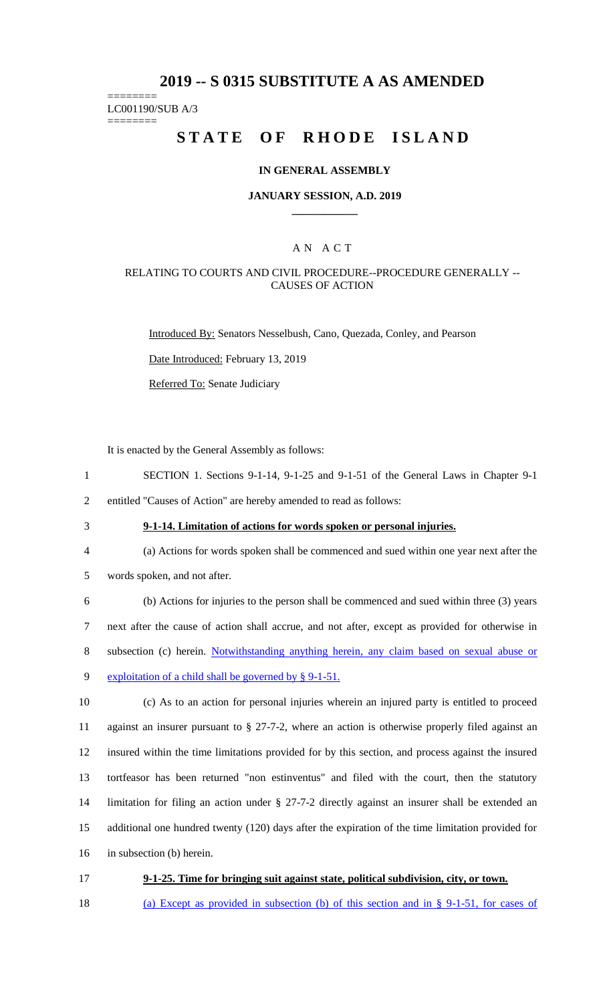# **2019 -- S 0315 SUBSTITUTE A AS AMENDED**

======== LC001190/SUB A/3

========

# **STATE OF RHODE ISLAND**

#### **IN GENERAL ASSEMBLY**

#### **JANUARY SESSION, A.D. 2019 \_\_\_\_\_\_\_\_\_\_\_\_**

### A N A C T

#### RELATING TO COURTS AND CIVIL PROCEDURE--PROCEDURE GENERALLY -- CAUSES OF ACTION

Introduced By: Senators Nesselbush, Cano, Quezada, Conley, and Pearson

Date Introduced: February 13, 2019

Referred To: Senate Judiciary

It is enacted by the General Assembly as follows:

- 1 SECTION 1. Sections 9-1-14, 9-1-25 and 9-1-51 of the General Laws in Chapter 9-1
- 2 entitled "Causes of Action" are hereby amended to read as follows:
- 

# 3 **9-1-14. Limitation of actions for words spoken or personal injuries.**

- 4 (a) Actions for words spoken shall be commenced and sued within one year next after the
- 5 words spoken, and not after.

 (b) Actions for injuries to the person shall be commenced and sued within three (3) years next after the cause of action shall accrue, and not after, except as provided for otherwise in subsection (c) herein. Notwithstanding anything herein, any claim based on sexual abuse or 9 exploitation of a child shall be governed by § 9-1-51.

 (c) As to an action for personal injuries wherein an injured party is entitled to proceed against an insurer pursuant to § 27-7-2, where an action is otherwise properly filed against an insured within the time limitations provided for by this section, and process against the insured tortfeasor has been returned "non estinventus" and filed with the court, then the statutory limitation for filing an action under § 27-7-2 directly against an insurer shall be extended an additional one hundred twenty (120) days after the expiration of the time limitation provided for in subsection (b) herein.

- 17 **9-1-25. Time for bringing suit against state, political subdivision, city, or town.**
- 18 (a) Except as provided in subsection (b) of this section and in § 9-1-51, for cases of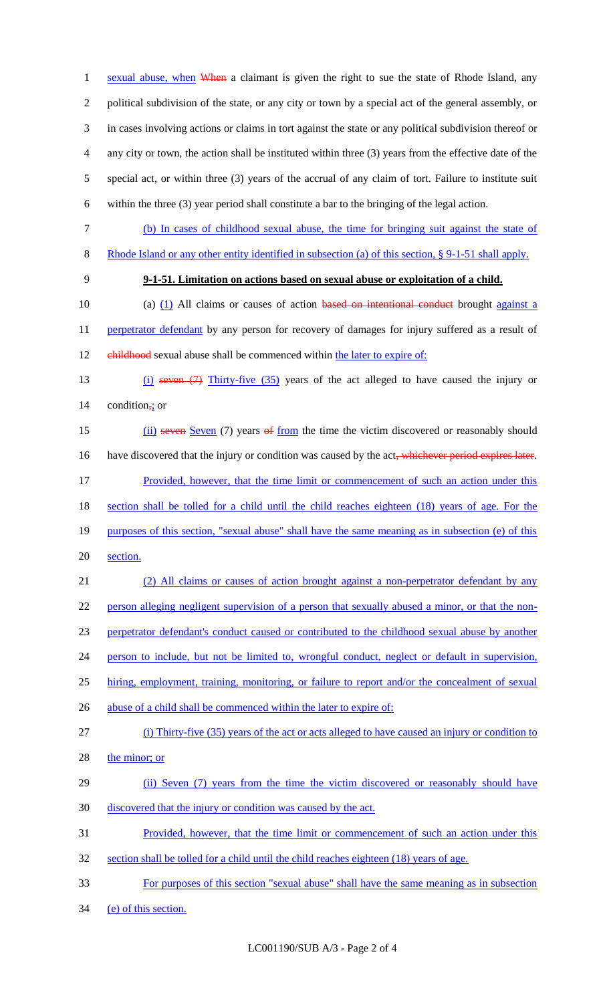1 sexual abuse, when When a claimant is given the right to sue the state of Rhode Island, any political subdivision of the state, or any city or town by a special act of the general assembly, or in cases involving actions or claims in tort against the state or any political subdivision thereof or any city or town, the action shall be instituted within three (3) years from the effective date of the special act, or within three (3) years of the accrual of any claim of tort. Failure to institute suit within the three (3) year period shall constitute a bar to the bringing of the legal action.

- (b) In cases of childhood sexual abuse, the time for bringing suit against the state of
- Rhode Island or any other entity identified in subsection (a) of this section, § 9-1-51 shall apply.
- 

### **9-1-51. Limitation on actions based on sexual abuse or exploitation of a child.**

10 (a) (1) All claims or causes of action based on intentional conduct brought against a 11 perpetrator defendant by any person for recovery of damages for injury suffered as a result of 12 childhood sexual abuse shall be commenced within the later to expire of:

 (i) seven (7) Thirty-five (35) years of the act alleged to have caused the injury or condition<sub> $\div$ </sub> or

15 (ii) seven Seven (7) years of from the time the victim discovered or reasonably should 16 have discovered that the injury or condition was caused by the act, whichever period expires later. Provided, however, that the time limit or commencement of such an action under this 18 section shall be tolled for a child until the child reaches eighteen (18) years of age. For the 19 purposes of this section, "sexual abuse" shall have the same meaning as in subsection (e) of this section.

 (2) All claims or causes of action brought against a non-perpetrator defendant by any person alleging negligent supervision of a person that sexually abused a minor, or that the non- perpetrator defendant's conduct caused or contributed to the childhood sexual abuse by another person to include, but not be limited to, wrongful conduct, neglect or default in supervision, 25 hiring, employment, training, monitoring, or failure to report and/or the concealment of sexual 26 abuse of a child shall be commenced within the later to expire of:

- (i) Thirty-five (35) years of the act or acts alleged to have caused an injury or condition to
- 28 the minor; or
- 29 (ii) Seven (7) years from the time the victim discovered or reasonably should have discovered that the injury or condition was caused by the act.
- Provided, however, that the time limit or commencement of such an action under this
- section shall be tolled for a child until the child reaches eighteen (18) years of age.
- For purposes of this section "sexual abuse" shall have the same meaning as in subsection
- (e) of this section.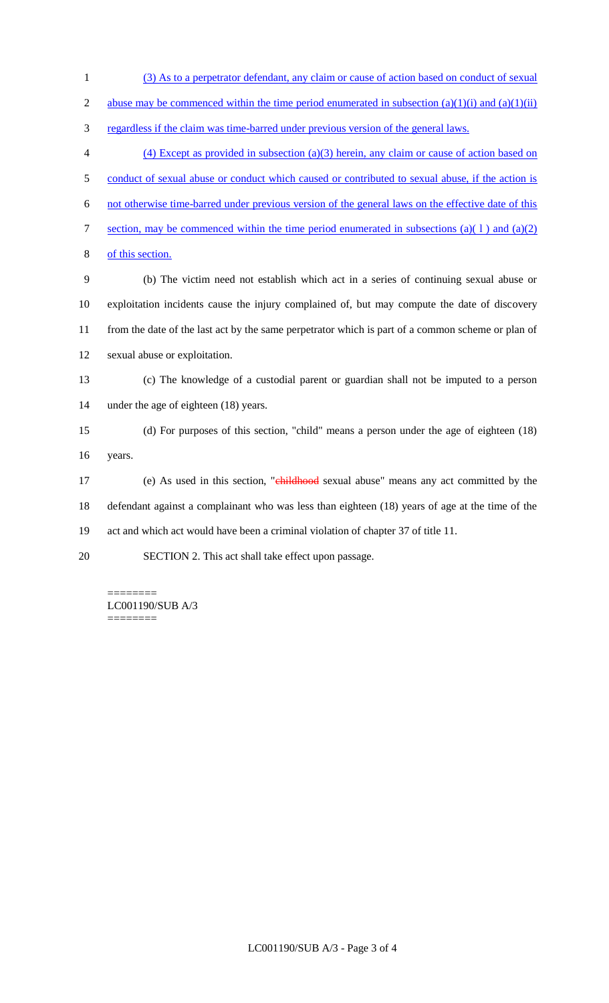- (3) As to a perpetrator defendant, any claim or cause of action based on conduct of sexual 2 abuse may be commenced within the time period enumerated in subsection  $(a)(1)(i)$  and  $(a)(1)(ii)$  regardless if the claim was time-barred under previous version of the general laws. (4) Except as provided in subsection (a)(3) herein, any claim or cause of action based on 5 conduct of sexual abuse or conduct which caused or contributed to sexual abuse, if the action is not otherwise time-barred under previous version of the general laws on the effective date of this 7 section, may be commenced within the time period enumerated in subsections (a)(1) and (a)(2) of this section. (b) The victim need not establish which act in a series of continuing sexual abuse or exploitation incidents cause the injury complained of, but may compute the date of discovery from the date of the last act by the same perpetrator which is part of a common scheme or plan of sexual abuse or exploitation. (c) The knowledge of a custodial parent or guardian shall not be imputed to a person under the age of eighteen (18) years. (d) For purposes of this section, "child" means a person under the age of eighteen (18) years. 17 (e) As used in this section, "childhood sexual abuse" means any act committed by the defendant against a complainant who was less than eighteen (18) years of age at the time of the act and which act would have been a criminal violation of chapter 37 of title 11.
- SECTION 2. This act shall take effect upon passage.

======== LC001190/SUB A/3 ========